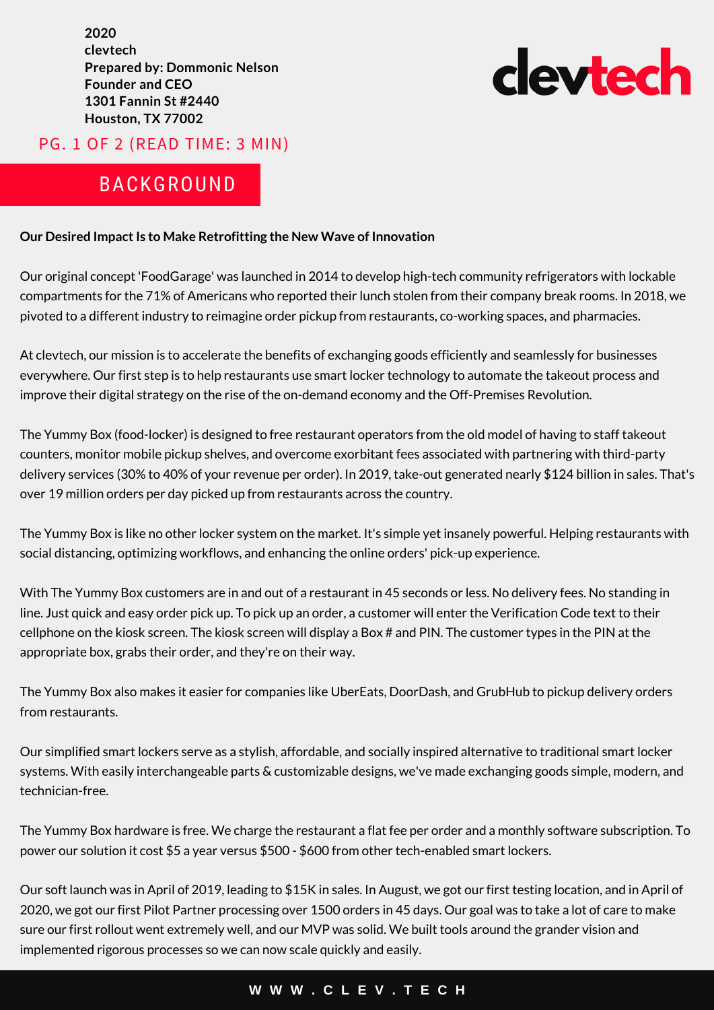**2020 clevtech Prepared by: Dommonic Nelson Founder and CEO 1301 Fannin St #2440 Houston, TX 77002**

# cleytech

### PG. 1 OF 2 (READ TIME: 3 MIN)

# BACKGROUND

#### **Our Desired Impact Is to Make Retrofitting the New Wave of Innovation**

Our original concept 'FoodGarage' was launched in 2014 to develop high-tech community refrigerators with lockable compartments for the 71% of Americans who reported their lunch stolen from their company break rooms. In 2018, we pivoted to a different industry to reimagine order pickup from restaurants, co-working spaces, and pharmacies.

At clevtech, our mission is to accelerate the benefits of exchanging goods efficiently and seamlessly for businesses everywhere. Our first step is to help restaurants use smart locker technology to automate the takeout process and improve their digital strategy on the rise of the on-demand economy and the Off-Premises Revolution.

The Yummy Box (food-locker) is designed to free restaurant operators from the old model of having to staff takeout counters, monitor mobile pickup shelves, and overcome exorbitant fees associated with partnering with third-party delivery services (30% to 40% of your revenue per order). In 2019, take-out generated nearly \$124 billion in sales. That's over 19 million orders per day picked up from restaurants across the country.

The Yummy Box is like no other locker system on the market. It's simple yet insanely powerful. Helping restaurants with social distancing, optimizing workflows, and enhancing the online orders' pick-up experience.

With The Yummy Box customers are in and out of a restaurant in 45 seconds or less. No delivery fees. No standing in line. Just quick and easy order pick up. To pick up an order, a customer will enter the Verification Code text to their cellphone on the kiosk screen. The kiosk screen will display a Box # and PIN. The customer types in the PIN at the appropriate box, grabs their order, and they're on their way.

The Yummy Box also makes it easier for companies like UberEats, DoorDash, and GrubHub to pickup delivery orders from restaurants.

Our simplified smart lockers serve as a stylish, affordable, and socially inspired alternative to traditional smart locker systems. With easily interchangeable parts & customizable designs, we've made exchanging goods simple, modern, and technician-free.

The Yummy Box hardware is free. We charge the restaurant a flat fee per order and a monthly software subscription. To power our solution it cost \$5 a year versus \$500 - \$600 from other tech-enabled smart lockers.

Our soft launch was in April of 2019, leading to \$15K in sales. In August, we got our first testing location, and in April of 2020, we got our first Pilot Partner processing over 1500 orders in 45 days. Our goal was to take a lot of care to make sure our first rollout went extremely well, and our MVP was solid. We built tools around the grander vision and implemented rigorous processes so we can now scale quickly and easily.

#### **W W W . C L E V . T E C H**